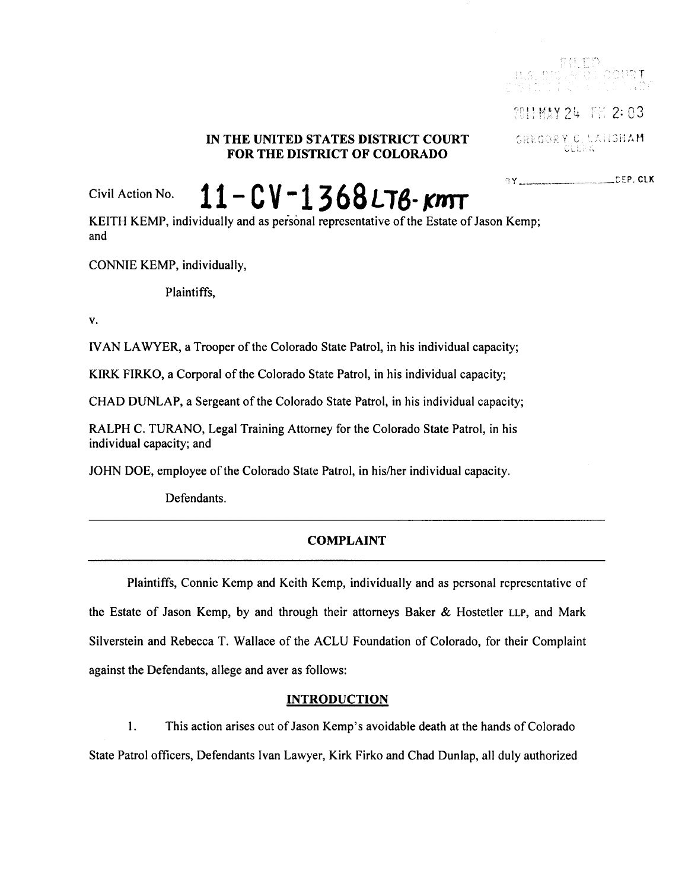# IN THE UNITED STATES DISTRICT COURT FOR THE DISTRICT OF COLORADO

2011 MAY 24 FM 2:03

SREGORY C. LANSHAM

**BY** DEP. CLX

Civil Action No.

 $11 - CV - 1368$  LTB- KMT

KEITH KEMP, individually and as personal representative of the Estate of Jason Kemp; and

CONNIE KEMP, individually,

Plaintiffs.

V.

IVAN LAWYER, a Trooper of the Colorado State Patrol, in his individual capacity;

KIRK FIRKO, a Corporal of the Colorado State Patrol, in his individual capacity;

CHAD DUNLAP, a Sergeant of the Colorado State Patrol, in his individual capacity;

RALPH C. TURANO, Legal Training Attorney for the Colorado State Patrol, in his individual capacity; and

JOHN DOE, employee of the Colorado State Patrol, in his/her individual capacity.

Defendants.

# **COMPLAINT**

Plaintiffs, Connie Kemp and Keith Kemp, individually and as personal representative of the Estate of Jason Kemp, by and through their attorneys Baker & Hostetler LLP, and Mark Silverstein and Rebecca T. Wallace of the ACLU Foundation of Colorado, for their Complaint against the Defendants, allege and aver as follows:

## **INTRODUCTION**

 $\mathbf{1}$ . This action arises out of Jason Kemp's avoidable death at the hands of Colorado State Patrol officers, Defendants Ivan Lawyer, Kirk Firko and Chad Dunlap, all duly authorized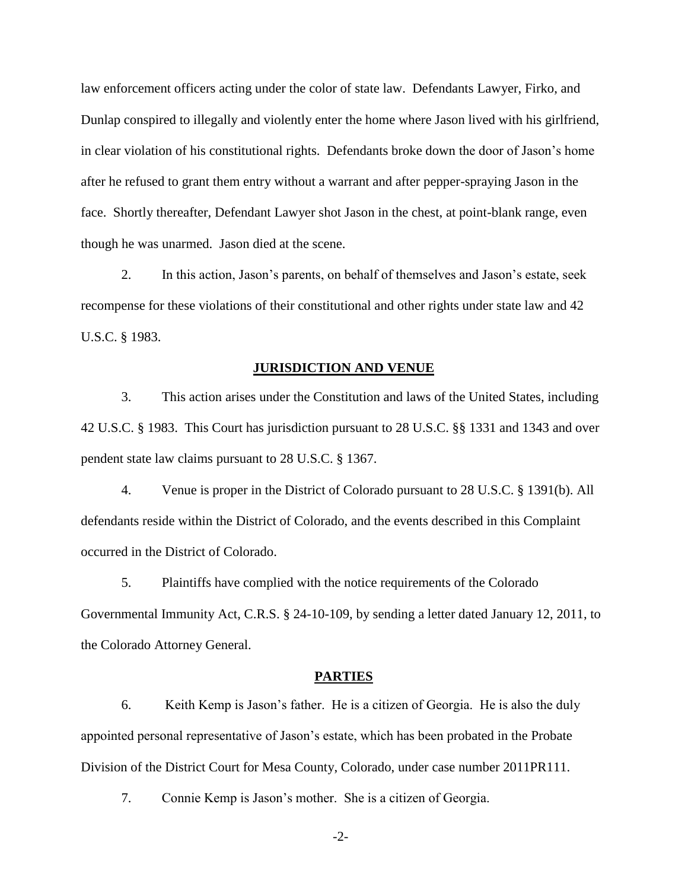law enforcement officers acting under the color of state law. Defendants Lawyer, Firko, and Dunlap conspired to illegally and violently enter the home where Jason lived with his girlfriend, in clear violation of his constitutional rights. Defendants broke down the door of Jason's home after he refused to grant them entry without a warrant and after pepper-spraying Jason in the face. Shortly thereafter, Defendant Lawyer shot Jason in the chest, at point-blank range, even though he was unarmed. Jason died at the scene.

2. In this action, Jason's parents, on behalf of themselves and Jason's estate, seek recompense for these violations of their constitutional and other rights under state law and 42 U.S.C. § 1983.

#### **JURISDICTION AND VENUE**

3. This action arises under the Constitution and laws of the United States, including 42 U.S.C. § 1983. This Court has jurisdiction pursuant to 28 U.S.C. §§ 1331 and 1343 and over pendent state law claims pursuant to 28 U.S.C. § 1367.

4. Venue is proper in the District of Colorado pursuant to 28 U.S.C. § 1391(b). All defendants reside within the District of Colorado, and the events described in this Complaint occurred in the District of Colorado.

5. Plaintiffs have complied with the notice requirements of the Colorado Governmental Immunity Act, C.R.S. § 24-10-109, by sending a letter dated January 12, 2011, to the Colorado Attorney General.

#### **PARTIES**

6. Keith Kemp is Jason's father. He is a citizen of Georgia. He is also the duly appointed personal representative of Jason's estate, which has been probated in the Probate Division of the District Court for Mesa County, Colorado, under case number 2011PR111.

7. Connie Kemp is Jason's mother. She is a citizen of Georgia.

-2-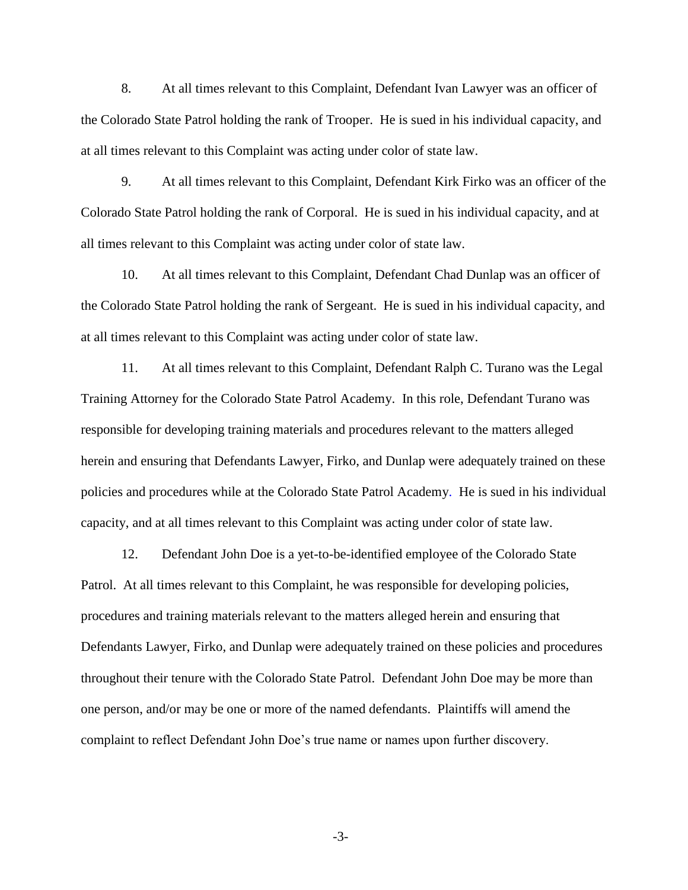8. At all times relevant to this Complaint, Defendant Ivan Lawyer was an officer of the Colorado State Patrol holding the rank of Trooper. He is sued in his individual capacity, and at all times relevant to this Complaint was acting under color of state law.

9. At all times relevant to this Complaint, Defendant Kirk Firko was an officer of the Colorado State Patrol holding the rank of Corporal. He is sued in his individual capacity, and at all times relevant to this Complaint was acting under color of state law.

10. At all times relevant to this Complaint, Defendant Chad Dunlap was an officer of the Colorado State Patrol holding the rank of Sergeant. He is sued in his individual capacity, and at all times relevant to this Complaint was acting under color of state law.

11. At all times relevant to this Complaint, Defendant Ralph C. Turano was the Legal Training Attorney for the Colorado State Patrol Academy. In this role, Defendant Turano was responsible for developing training materials and procedures relevant to the matters alleged herein and ensuring that Defendants Lawyer, Firko, and Dunlap were adequately trained on these policies and procedures while at the Colorado State Patrol Academy. He is sued in his individual capacity, and at all times relevant to this Complaint was acting under color of state law.

12. Defendant John Doe is a yet-to-be-identified employee of the Colorado State Patrol. At all times relevant to this Complaint, he was responsible for developing policies, procedures and training materials relevant to the matters alleged herein and ensuring that Defendants Lawyer, Firko, and Dunlap were adequately trained on these policies and procedures throughout their tenure with the Colorado State Patrol. Defendant John Doe may be more than one person, and/or may be one or more of the named defendants. Plaintiffs will amend the complaint to reflect Defendant John Doe's true name or names upon further discovery.

-3-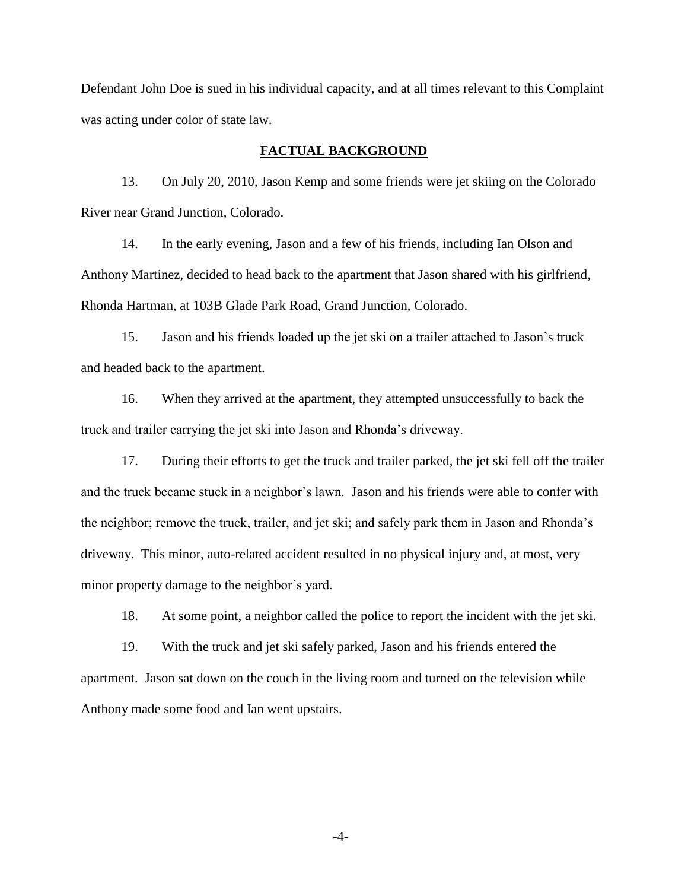Defendant John Doe is sued in his individual capacity, and at all times relevant to this Complaint was acting under color of state law.

### **FACTUAL BACKGROUND**

13. On July 20, 2010, Jason Kemp and some friends were jet skiing on the Colorado River near Grand Junction, Colorado.

14. In the early evening, Jason and a few of his friends, including Ian Olson and Anthony Martinez, decided to head back to the apartment that Jason shared with his girlfriend, Rhonda Hartman, at 103B Glade Park Road, Grand Junction, Colorado.

15. Jason and his friends loaded up the jet ski on a trailer attached to Jason's truck and headed back to the apartment.

16. When they arrived at the apartment, they attempted unsuccessfully to back the truck and trailer carrying the jet ski into Jason and Rhonda's driveway.

17. During their efforts to get the truck and trailer parked, the jet ski fell off the trailer and the truck became stuck in a neighbor's lawn. Jason and his friends were able to confer with the neighbor; remove the truck, trailer, and jet ski; and safely park them in Jason and Rhonda's driveway. This minor, auto-related accident resulted in no physical injury and, at most, very minor property damage to the neighbor's yard.

18. At some point, a neighbor called the police to report the incident with the jet ski.

19. With the truck and jet ski safely parked, Jason and his friends entered the apartment. Jason sat down on the couch in the living room and turned on the television while Anthony made some food and Ian went upstairs.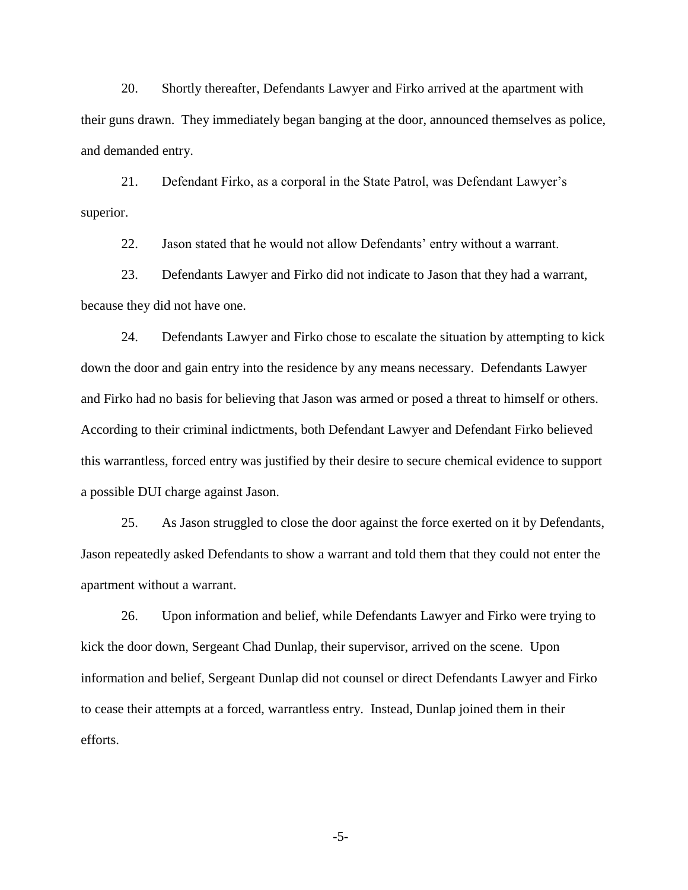20. Shortly thereafter, Defendants Lawyer and Firko arrived at the apartment with their guns drawn. They immediately began banging at the door, announced themselves as police, and demanded entry.

21. Defendant Firko, as a corporal in the State Patrol, was Defendant Lawyer's superior.

22. Jason stated that he would not allow Defendants' entry without a warrant.

23. Defendants Lawyer and Firko did not indicate to Jason that they had a warrant, because they did not have one.

24. Defendants Lawyer and Firko chose to escalate the situation by attempting to kick down the door and gain entry into the residence by any means necessary. Defendants Lawyer and Firko had no basis for believing that Jason was armed or posed a threat to himself or others. According to their criminal indictments, both Defendant Lawyer and Defendant Firko believed this warrantless, forced entry was justified by their desire to secure chemical evidence to support a possible DUI charge against Jason.

25. As Jason struggled to close the door against the force exerted on it by Defendants, Jason repeatedly asked Defendants to show a warrant and told them that they could not enter the apartment without a warrant.

26. Upon information and belief, while Defendants Lawyer and Firko were trying to kick the door down, Sergeant Chad Dunlap, their supervisor, arrived on the scene. Upon information and belief, Sergeant Dunlap did not counsel or direct Defendants Lawyer and Firko to cease their attempts at a forced, warrantless entry. Instead, Dunlap joined them in their efforts.

-5-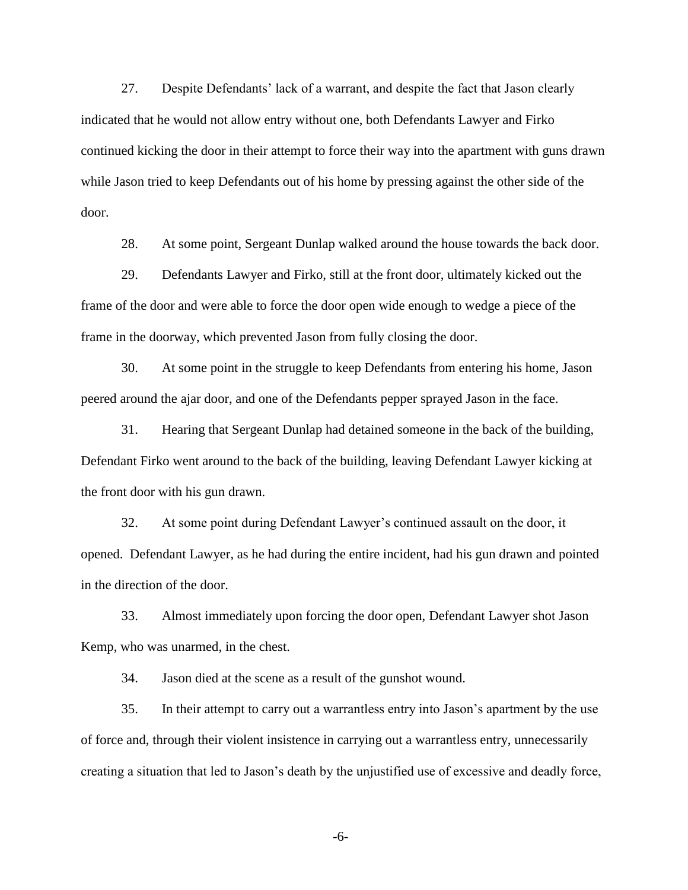27. Despite Defendants' lack of a warrant, and despite the fact that Jason clearly indicated that he would not allow entry without one, both Defendants Lawyer and Firko continued kicking the door in their attempt to force their way into the apartment with guns drawn while Jason tried to keep Defendants out of his home by pressing against the other side of the door.

28. At some point, Sergeant Dunlap walked around the house towards the back door.

29. Defendants Lawyer and Firko, still at the front door, ultimately kicked out the frame of the door and were able to force the door open wide enough to wedge a piece of the frame in the doorway, which prevented Jason from fully closing the door.

30. At some point in the struggle to keep Defendants from entering his home, Jason peered around the ajar door, and one of the Defendants pepper sprayed Jason in the face.

31. Hearing that Sergeant Dunlap had detained someone in the back of the building, Defendant Firko went around to the back of the building, leaving Defendant Lawyer kicking at the front door with his gun drawn.

32. At some point during Defendant Lawyer's continued assault on the door, it opened. Defendant Lawyer, as he had during the entire incident, had his gun drawn and pointed in the direction of the door.

33. Almost immediately upon forcing the door open, Defendant Lawyer shot Jason Kemp, who was unarmed, in the chest.

34. Jason died at the scene as a result of the gunshot wound.

35. In their attempt to carry out a warrantless entry into Jason's apartment by the use of force and, through their violent insistence in carrying out a warrantless entry, unnecessarily creating a situation that led to Jason's death by the unjustified use of excessive and deadly force,

-6-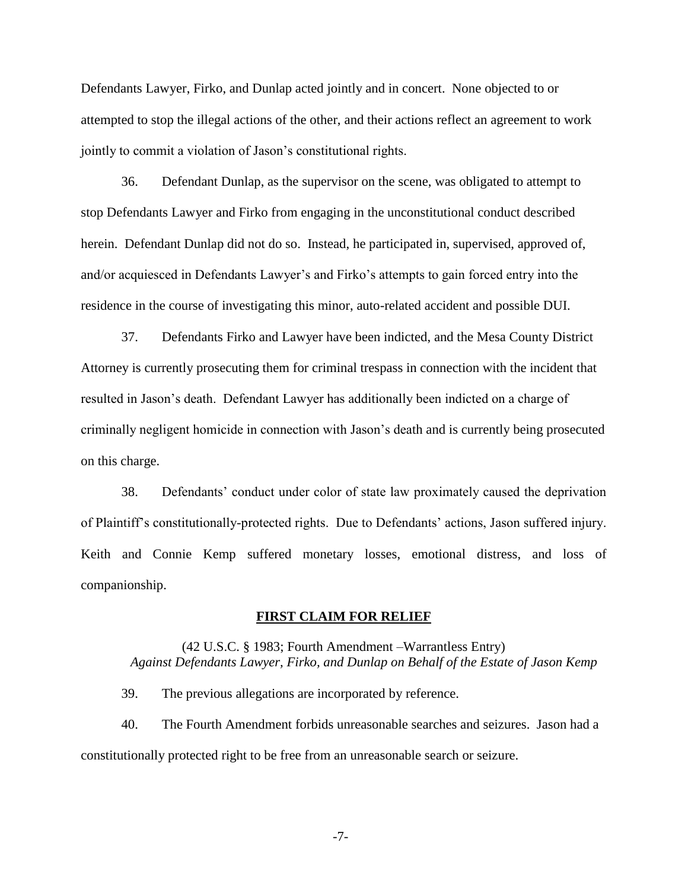Defendants Lawyer, Firko, and Dunlap acted jointly and in concert. None objected to or attempted to stop the illegal actions of the other, and their actions reflect an agreement to work jointly to commit a violation of Jason's constitutional rights.

36. Defendant Dunlap, as the supervisor on the scene, was obligated to attempt to stop Defendants Lawyer and Firko from engaging in the unconstitutional conduct described herein. Defendant Dunlap did not do so. Instead, he participated in, supervised, approved of, and/or acquiesced in Defendants Lawyer's and Firko's attempts to gain forced entry into the residence in the course of investigating this minor, auto-related accident and possible DUI.

37. Defendants Firko and Lawyer have been indicted, and the Mesa County District Attorney is currently prosecuting them for criminal trespass in connection with the incident that resulted in Jason's death. Defendant Lawyer has additionally been indicted on a charge of criminally negligent homicide in connection with Jason's death and is currently being prosecuted on this charge.

38. Defendants' conduct under color of state law proximately caused the deprivation of Plaintiff's constitutionally-protected rights. Due to Defendants' actions, Jason suffered injury. Keith and Connie Kemp suffered monetary losses, emotional distress, and loss of companionship.

#### **FIRST CLAIM FOR RELIEF**

# (42 U.S.C. § 1983; Fourth Amendment –Warrantless Entry) *Against Defendants Lawyer, Firko, and Dunlap on Behalf of the Estate of Jason Kemp*

39. The previous allegations are incorporated by reference.

40. The Fourth Amendment forbids unreasonable searches and seizures. Jason had a constitutionally protected right to be free from an unreasonable search or seizure.

-7-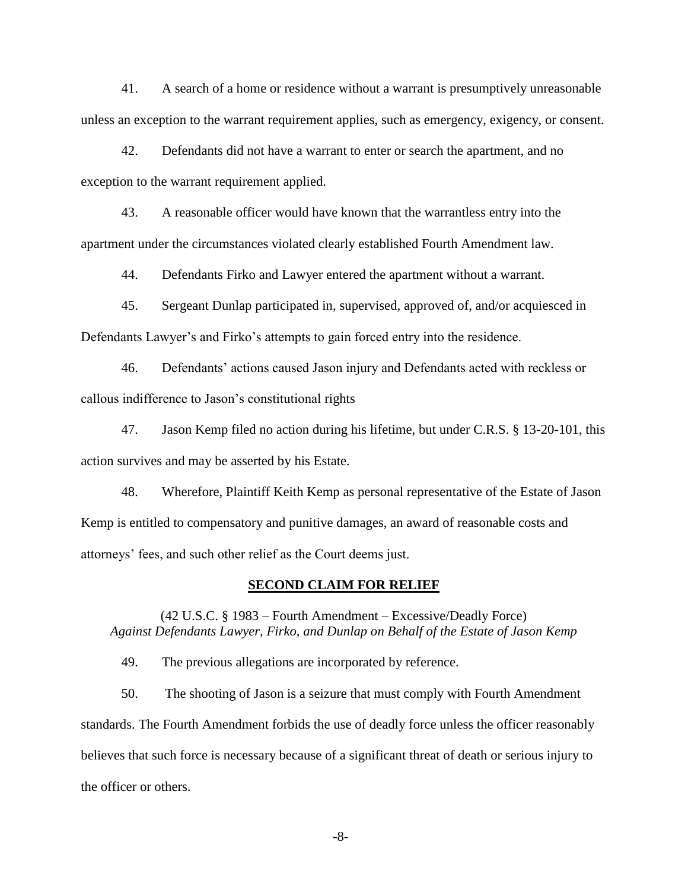41. A search of a home or residence without a warrant is presumptively unreasonable unless an exception to the warrant requirement applies, such as emergency, exigency, or consent.

42. Defendants did not have a warrant to enter or search the apartment, and no exception to the warrant requirement applied.

43. A reasonable officer would have known that the warrantless entry into the apartment under the circumstances violated clearly established Fourth Amendment law.

44. Defendants Firko and Lawyer entered the apartment without a warrant.

45. Sergeant Dunlap participated in, supervised, approved of, and/or acquiesced in Defendants Lawyer's and Firko's attempts to gain forced entry into the residence.

46. Defendants' actions caused Jason injury and Defendants acted with reckless or callous indifference to Jason's constitutional rights

47. Jason Kemp filed no action during his lifetime, but under C.R.S. § 13-20-101, this action survives and may be asserted by his Estate.

48. Wherefore, Plaintiff Keith Kemp as personal representative of the Estate of Jason Kemp is entitled to compensatory and punitive damages, an award of reasonable costs and attorneys' fees, and such other relief as the Court deems just.

#### **SECOND CLAIM FOR RELIEF**

(42 U.S.C. § 1983 – Fourth Amendment – Excessive/Deadly Force) *Against Defendants Lawyer, Firko, and Dunlap on Behalf of the Estate of Jason Kemp*

49. The previous allegations are incorporated by reference.

50. The shooting of Jason is a seizure that must comply with Fourth Amendment standards. The Fourth Amendment forbids the use of deadly force unless the officer reasonably believes that such force is necessary because of a significant threat of death or serious injury to the officer or others.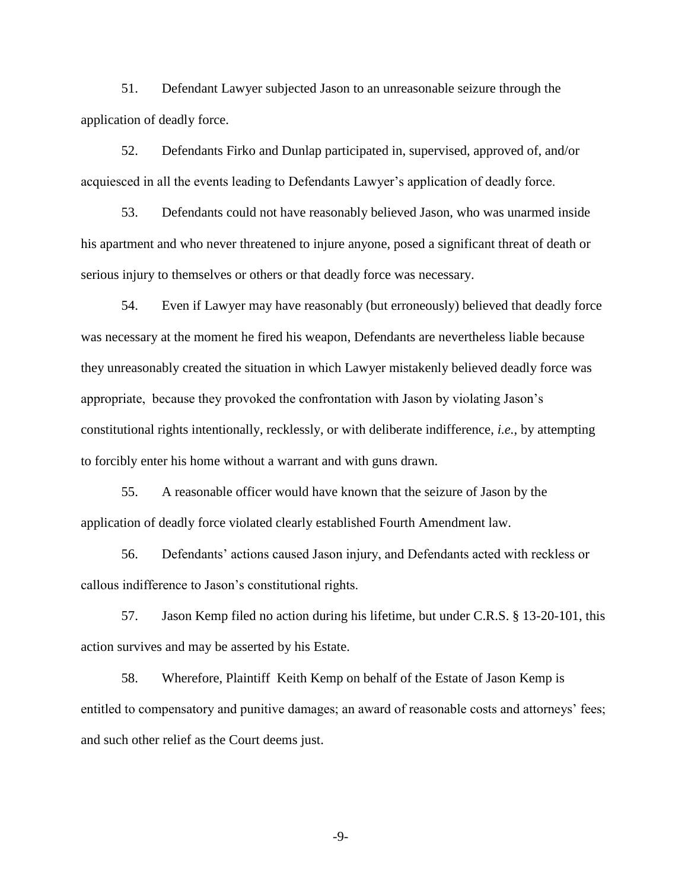51. Defendant Lawyer subjected Jason to an unreasonable seizure through the application of deadly force.

52. Defendants Firko and Dunlap participated in, supervised, approved of, and/or acquiesced in all the events leading to Defendants Lawyer's application of deadly force.

53. Defendants could not have reasonably believed Jason, who was unarmed inside his apartment and who never threatened to injure anyone, posed a significant threat of death or serious injury to themselves or others or that deadly force was necessary.

54. Even if Lawyer may have reasonably (but erroneously) believed that deadly force was necessary at the moment he fired his weapon, Defendants are nevertheless liable because they unreasonably created the situation in which Lawyer mistakenly believed deadly force was appropriate, because they provoked the confrontation with Jason by violating Jason's constitutional rights intentionally, recklessly, or with deliberate indifference, *i.e.*, by attempting to forcibly enter his home without a warrant and with guns drawn.

55. A reasonable officer would have known that the seizure of Jason by the application of deadly force violated clearly established Fourth Amendment law.

56. Defendants' actions caused Jason injury, and Defendants acted with reckless or callous indifference to Jason's constitutional rights.

57. Jason Kemp filed no action during his lifetime, but under C.R.S. § 13-20-101, this action survives and may be asserted by his Estate.

58. Wherefore, Plaintiff Keith Kemp on behalf of the Estate of Jason Kemp is entitled to compensatory and punitive damages; an award of reasonable costs and attorneys' fees; and such other relief as the Court deems just.

-9-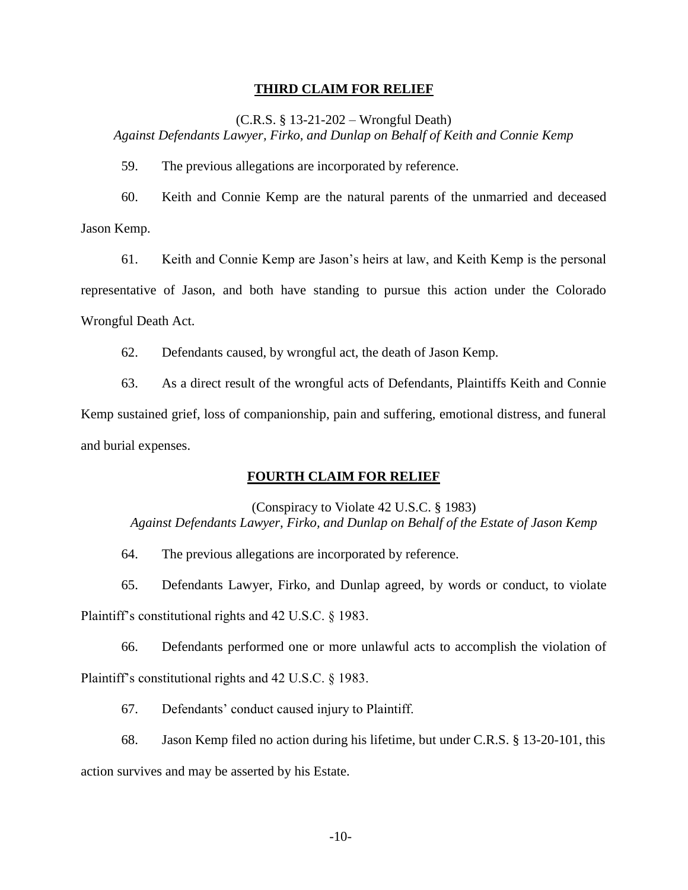#### **THIRD CLAIM FOR RELIEF**

(C.R.S. § 13-21-202 – Wrongful Death)

*Against Defendants Lawyer, Firko, and Dunlap on Behalf of Keith and Connie Kemp*

59. The previous allegations are incorporated by reference.

60. Keith and Connie Kemp are the natural parents of the unmarried and deceased Jason Kemp.

61. Keith and Connie Kemp are Jason's heirs at law, and Keith Kemp is the personal representative of Jason, and both have standing to pursue this action under the Colorado Wrongful Death Act.

62. Defendants caused, by wrongful act, the death of Jason Kemp.

63. As a direct result of the wrongful acts of Defendants, Plaintiffs Keith and Connie Kemp sustained grief, loss of companionship, pain and suffering, emotional distress, and funeral and burial expenses.

# **FOURTH CLAIM FOR RELIEF**

(Conspiracy to Violate 42 U.S.C. § 1983) *Against Defendants Lawyer, Firko, and Dunlap on Behalf of the Estate of Jason Kemp*

64. The previous allegations are incorporated by reference.

65. Defendants Lawyer, Firko, and Dunlap agreed, by words or conduct, to violate

Plaintiff's constitutional rights and 42 U.S.C. § 1983.

66. Defendants performed one or more unlawful acts to accomplish the violation of Plaintiff's constitutional rights and 42 U.S.C. § 1983.

67. Defendants' conduct caused injury to Plaintiff.

68. Jason Kemp filed no action during his lifetime, but under C.R.S. § 13-20-101, this action survives and may be asserted by his Estate.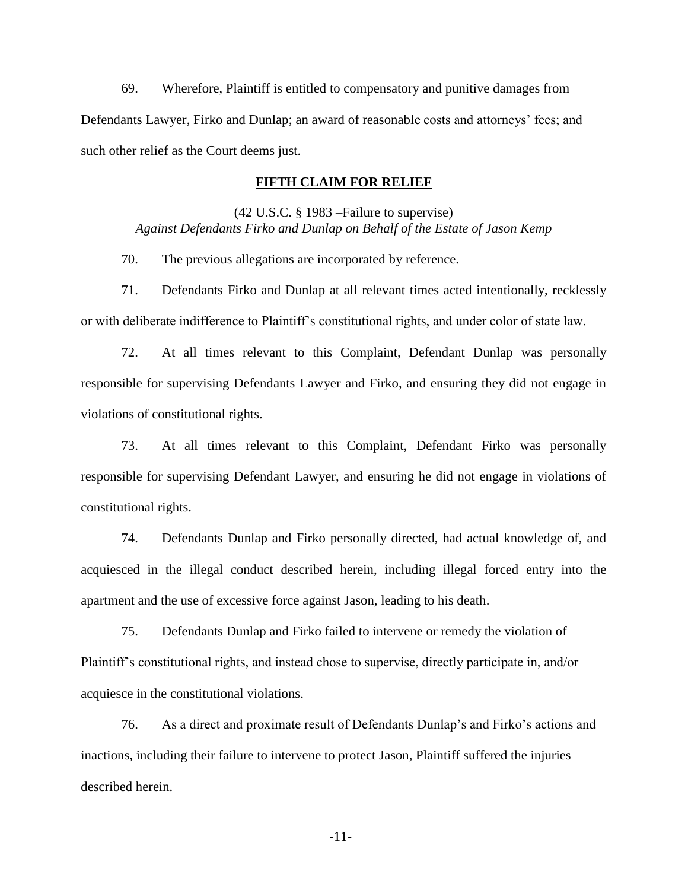69. Wherefore, Plaintiff is entitled to compensatory and punitive damages from Defendants Lawyer, Firko and Dunlap; an award of reasonable costs and attorneys' fees; and such other relief as the Court deems just.

## **FIFTH CLAIM FOR RELIEF**

(42 U.S.C. § 1983 –Failure to supervise) *Against Defendants Firko and Dunlap on Behalf of the Estate of Jason Kemp*

70. The previous allegations are incorporated by reference.

71. Defendants Firko and Dunlap at all relevant times acted intentionally, recklessly or with deliberate indifference to Plaintiff's constitutional rights, and under color of state law.

72. At all times relevant to this Complaint, Defendant Dunlap was personally responsible for supervising Defendants Lawyer and Firko, and ensuring they did not engage in violations of constitutional rights.

73. At all times relevant to this Complaint, Defendant Firko was personally responsible for supervising Defendant Lawyer, and ensuring he did not engage in violations of constitutional rights.

74. Defendants Dunlap and Firko personally directed, had actual knowledge of, and acquiesced in the illegal conduct described herein, including illegal forced entry into the apartment and the use of excessive force against Jason, leading to his death.

75. Defendants Dunlap and Firko failed to intervene or remedy the violation of Plaintiff's constitutional rights, and instead chose to supervise, directly participate in, and/or acquiesce in the constitutional violations.

76. As a direct and proximate result of Defendants Dunlap's and Firko's actions and inactions, including their failure to intervene to protect Jason, Plaintiff suffered the injuries described herein.

-11-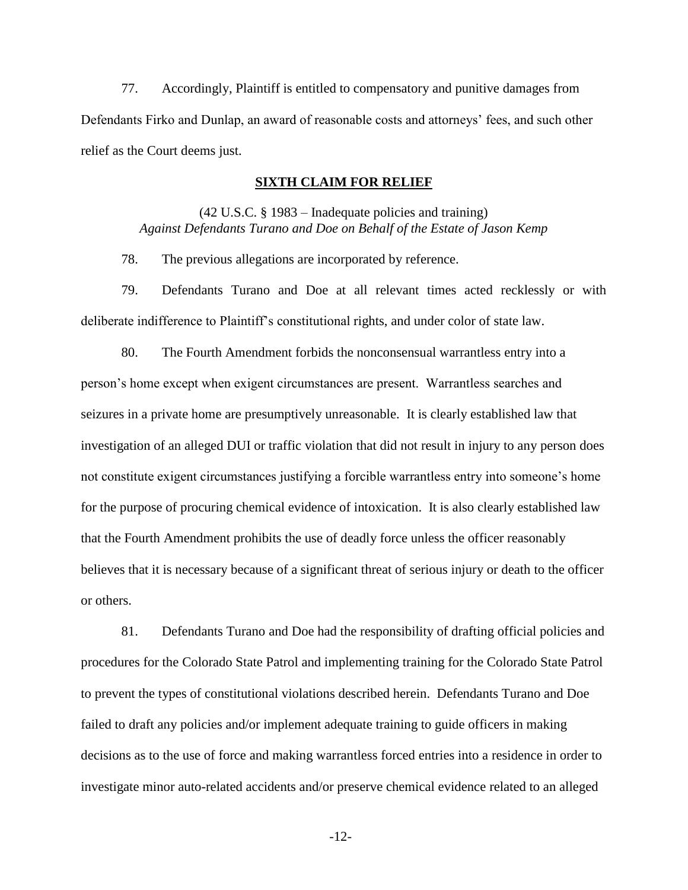77. Accordingly, Plaintiff is entitled to compensatory and punitive damages from Defendants Firko and Dunlap, an award of reasonable costs and attorneys' fees, and such other relief as the Court deems just.

# **SIXTH CLAIM FOR RELIEF**

(42 U.S.C. § 1983 – Inadequate policies and training) *Against Defendants Turano and Doe on Behalf of the Estate of Jason Kemp*

78. The previous allegations are incorporated by reference.

79. Defendants Turano and Doe at all relevant times acted recklessly or with deliberate indifference to Plaintiff's constitutional rights, and under color of state law.

80. The Fourth Amendment forbids the nonconsensual warrantless entry into a person's home except when exigent circumstances are present. Warrantless searches and seizures in a private home are presumptively unreasonable. It is clearly established law that investigation of an alleged DUI or traffic violation that did not result in injury to any person does not constitute exigent circumstances justifying a forcible warrantless entry into someone's home for the purpose of procuring chemical evidence of intoxication. It is also clearly established law that the Fourth Amendment prohibits the use of deadly force unless the officer reasonably believes that it is necessary because of a significant threat of serious injury or death to the officer or others.

81. Defendants Turano and Doe had the responsibility of drafting official policies and procedures for the Colorado State Patrol and implementing training for the Colorado State Patrol to prevent the types of constitutional violations described herein. Defendants Turano and Doe failed to draft any policies and/or implement adequate training to guide officers in making decisions as to the use of force and making warrantless forced entries into a residence in order to investigate minor auto-related accidents and/or preserve chemical evidence related to an alleged

-12-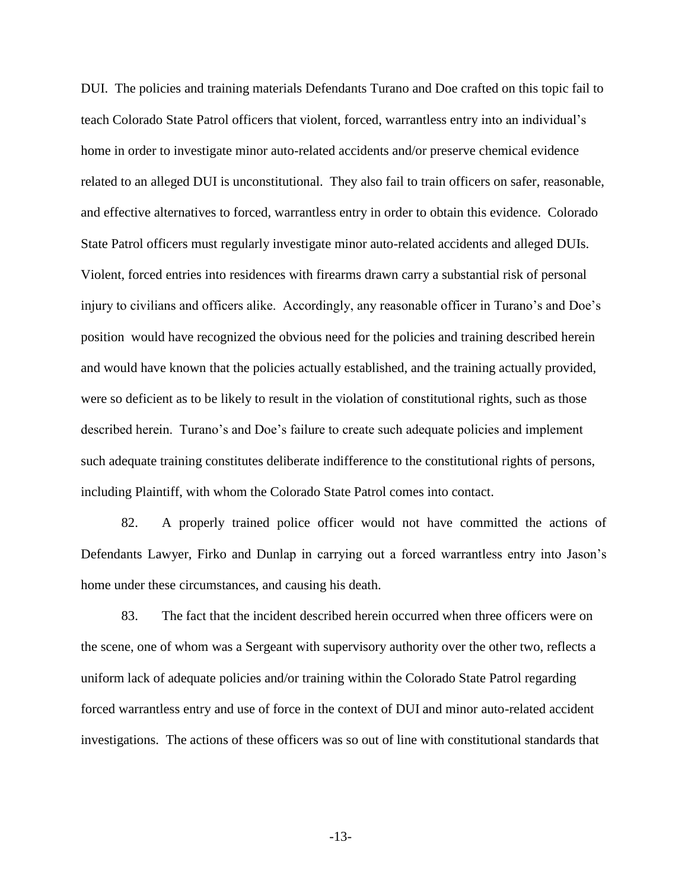DUI. The policies and training materials Defendants Turano and Doe crafted on this topic fail to teach Colorado State Patrol officers that violent, forced, warrantless entry into an individual's home in order to investigate minor auto-related accidents and/or preserve chemical evidence related to an alleged DUI is unconstitutional. They also fail to train officers on safer, reasonable, and effective alternatives to forced, warrantless entry in order to obtain this evidence. Colorado State Patrol officers must regularly investigate minor auto-related accidents and alleged DUIs. Violent, forced entries into residences with firearms drawn carry a substantial risk of personal injury to civilians and officers alike. Accordingly, any reasonable officer in Turano's and Doe's position would have recognized the obvious need for the policies and training described herein and would have known that the policies actually established, and the training actually provided, were so deficient as to be likely to result in the violation of constitutional rights, such as those described herein. Turano's and Doe's failure to create such adequate policies and implement such adequate training constitutes deliberate indifference to the constitutional rights of persons, including Plaintiff, with whom the Colorado State Patrol comes into contact.

82. A properly trained police officer would not have committed the actions of Defendants Lawyer, Firko and Dunlap in carrying out a forced warrantless entry into Jason's home under these circumstances, and causing his death.

83. The fact that the incident described herein occurred when three officers were on the scene, one of whom was a Sergeant with supervisory authority over the other two, reflects a uniform lack of adequate policies and/or training within the Colorado State Patrol regarding forced warrantless entry and use of force in the context of DUI and minor auto-related accident investigations. The actions of these officers was so out of line with constitutional standards that

-13-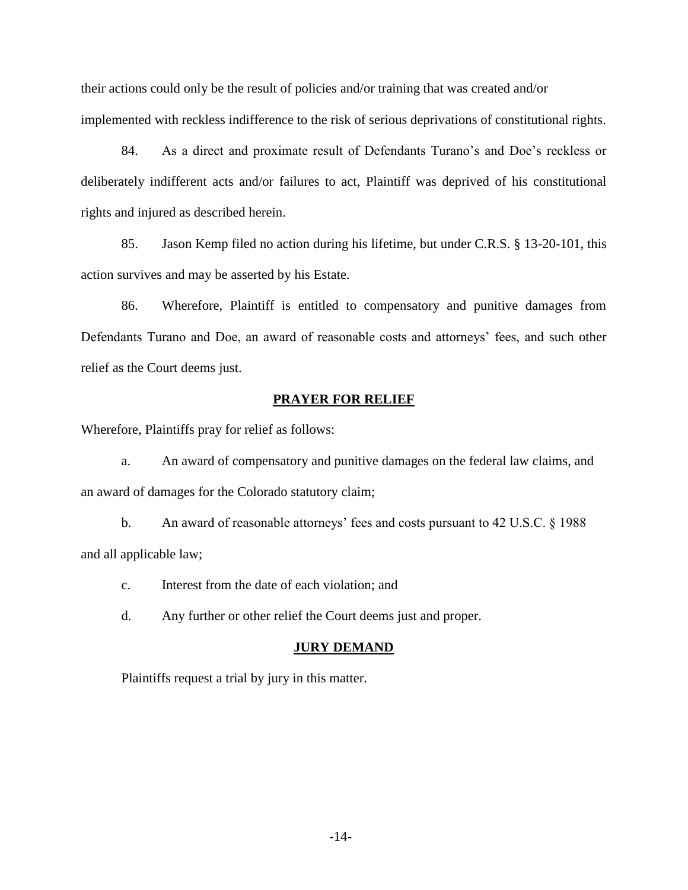their actions could only be the result of policies and/or training that was created and/or implemented with reckless indifference to the risk of serious deprivations of constitutional rights.

84. As a direct and proximate result of Defendants Turano's and Doe's reckless or deliberately indifferent acts and/or failures to act, Plaintiff was deprived of his constitutional rights and injured as described herein.

85. Jason Kemp filed no action during his lifetime, but under C.R.S. § 13-20-101, this action survives and may be asserted by his Estate.

86. Wherefore, Plaintiff is entitled to compensatory and punitive damages from Defendants Turano and Doe, an award of reasonable costs and attorneys' fees, and such other relief as the Court deems just.

## **PRAYER FOR RELIEF**

Wherefore, Plaintiffs pray for relief as follows:

a. An award of compensatory and punitive damages on the federal law claims, and an award of damages for the Colorado statutory claim;

b. An award of reasonable attorneys' fees and costs pursuant to 42 U.S.C. § 1988 and all applicable law;

c. Interest from the date of each violation; and

d. Any further or other relief the Court deems just and proper.

#### **JURY DEMAND**

Plaintiffs request a trial by jury in this matter.